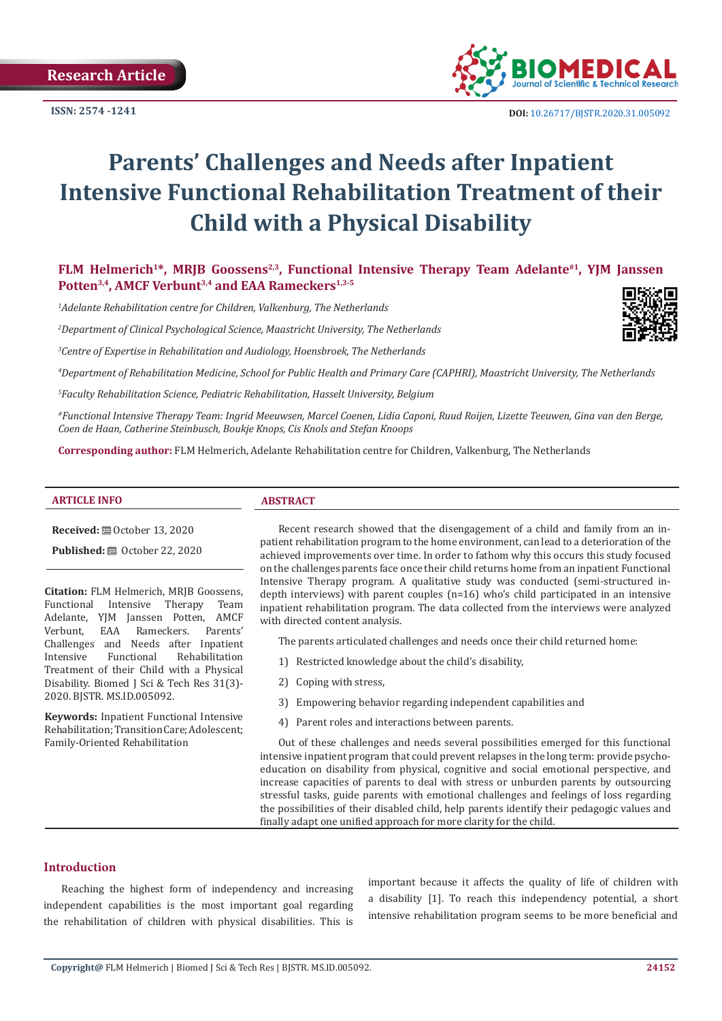

# **Parents' Challenges and Needs after Inpatient Intensive Functional Rehabilitation Treatment of their Child with a Physical Disability**

FLM Helmerich<sup>1\*</sup>, MRJB Goossens<sup>2,3</sup>, Functional Intensive Therapy Team Adelante<sup>#1</sup>, YJM Janssen Potten<sup>3,4</sup>, AMCF Verbunt<sup>3,4</sup> and EAA Rameckers<sup>1,3-5</sup>

*1 Adelante Rehabilitation centre for Children, Valkenburg, The Netherlands* 

*2 Department of Clinical Psychological Science, Maastricht University, The Netherlands*

*3 Centre of Expertise in Rehabilitation and Audiology, Hoensbroek, The Netherlands* 

*4 Department of Rehabilitation Medicine, School for Public Health and Primary Care (CAPHRI), Maastricht University, The Netherlands*

*5 Faculty Rehabilitation Science, Pediatric Rehabilitation, Hasselt University, Belgium*

*#Functional Intensive Therapy Team: Ingrid Meeuwsen, Marcel Coenen, Lidia Caponi, Ruud Roijen, Lizette Teeuwen, Gina van den Berge, Coen de Haan, Catherine Steinbusch, Boukje Knops, Cis Knols and Stefan Knoops*

**Corresponding author:** FLM Helmerich, Adelante Rehabilitation centre for Children, Valkenburg, The Netherlands

**Received:** ■ October 13, 2020

**Published:** ■ October 22, 2020

**Citation: FLM Helmerich, MRJB Goossens,<br>Functional Intensive Therapy Team** Functional Intensive Adelante, YJM Janssen Potten, AMCF<br>Verbunt, EAA Rameckers. Parents' Rameckers. Challenges and Needs after Inpatient<br>Intensive Functional Rehabilitation Rehabilitation Treatment of their Child with a Physical Disability. Biomed J Sci & Tech Res 31(3)- 2020. BJSTR. MS.ID.005092.

**Keywords:** Inpatient Functional Intensive Rehabilitation; Transition Care; Adolescent; Family-Oriented Rehabilitation

#### **ARTICLE INFO ABSTRACT**

Recent research showed that the disengagement of a child and family from an inpatient rehabilitation program to the home environment, can lead to a deterioration of the achieved improvements over time. In order to fathom why this occurs this study focused on the challenges parents face once their child returns home from an inpatient Functional Intensive Therapy program. A qualitative study was conducted (semi-structured indepth interviews) with parent couples (n=16) who's child participated in an intensive inpatient rehabilitation program. The data collected from the interviews were analyzed with directed content analysis.

The parents articulated challenges and needs once their child returned home:

- 1) Restricted knowledge about the child's disability,
- 2) Coping with stress,
- 3) Empowering behavior regarding independent capabilities and
- 4) Parent roles and interactions between parents.

Out of these challenges and needs several possibilities emerged for this functional intensive inpatient program that could prevent relapses in the long term: provide psychoeducation on disability from physical, cognitive and social emotional perspective, and increase capacities of parents to deal with stress or unburden parents by outsourcing stressful tasks, guide parents with emotional challenges and feelings of loss regarding the possibilities of their disabled child, help parents identify their pedagogic values and finally adapt one unified approach for more clarity for the child.

#### **Introduction**

Reaching the highest form of independency and increasing independent capabilities is the most important goal regarding the rehabilitation of children with physical disabilities. This is important because it affects the quality of life of children with a disability [1]. To reach this independency potential, a short intensive rehabilitation program seems to be more beneficial and

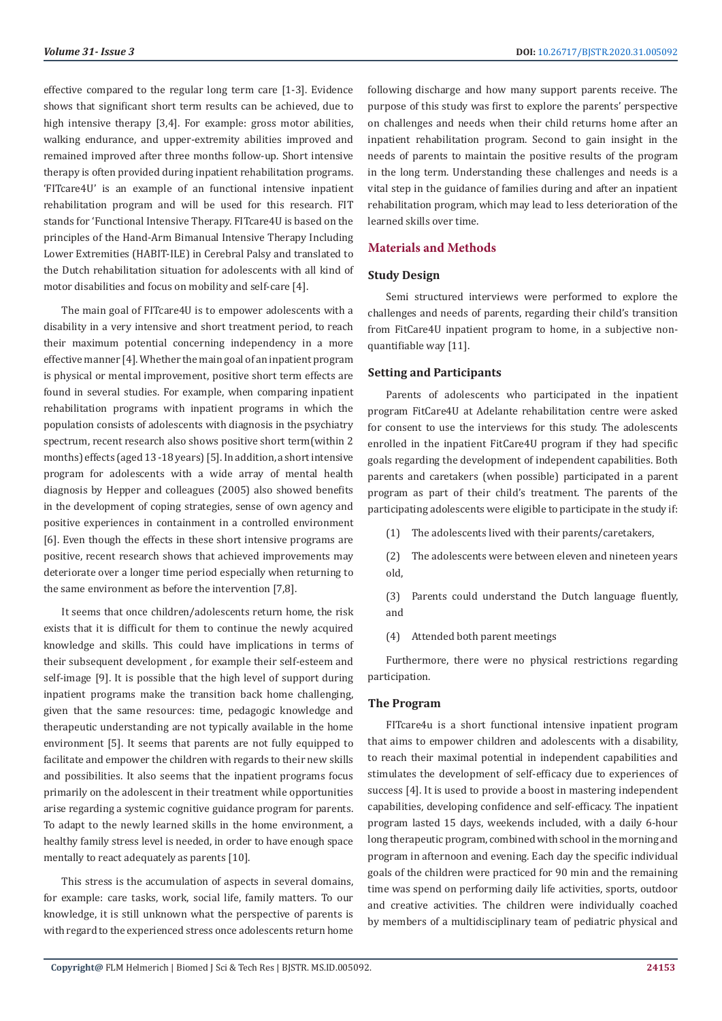effective compared to the regular long term care [1-3]. Evidence shows that significant short term results can be achieved, due to high intensive therapy [3,4]. For example: gross motor abilities, walking endurance, and upper-extremity abilities improved and remained improved after three months follow-up. Short intensive therapy is often provided during inpatient rehabilitation programs. 'FITcare4U' is an example of an functional intensive inpatient rehabilitation program and will be used for this research. FIT stands for 'Functional Intensive Therapy. FITcare4U is based on the principles of the Hand-Arm Bimanual Intensive Therapy Including Lower Extremities (HABIT-ILE) in Cerebral Palsy and translated to the Dutch rehabilitation situation for adolescents with all kind of motor disabilities and focus on mobility and self-care [4].

The main goal of FITcare4U is to empower adolescents with a disability in a very intensive and short treatment period, to reach their maximum potential concerning independency in a more effective manner [4]. Whether the main goal of an inpatient program is physical or mental improvement, positive short term effects are found in several studies. For example, when comparing inpatient rehabilitation programs with inpatient programs in which the population consists of adolescents with diagnosis in the psychiatry spectrum, recent research also shows positive short term(within 2 months) effects (aged 13 -18 years) [5]. In addition, a short intensive program for adolescents with a wide array of mental health diagnosis by Hepper and colleagues (2005) also showed benefits in the development of coping strategies, sense of own agency and positive experiences in containment in a controlled environment [6]. Even though the effects in these short intensive programs are positive, recent research shows that achieved improvements may deteriorate over a longer time period especially when returning to the same environment as before the intervention [7,8].

It seems that once children/adolescents return home, the risk exists that it is difficult for them to continue the newly acquired knowledge and skills. This could have implications in terms of their subsequent development , for example their self-esteem and self-image [9]. It is possible that the high level of support during inpatient programs make the transition back home challenging, given that the same resources: time, pedagogic knowledge and therapeutic understanding are not typically available in the home environment [5]. It seems that parents are not fully equipped to facilitate and empower the children with regards to their new skills and possibilities. It also seems that the inpatient programs focus primarily on the adolescent in their treatment while opportunities arise regarding a systemic cognitive guidance program for parents. To adapt to the newly learned skills in the home environment, a healthy family stress level is needed, in order to have enough space mentally to react adequately as parents [10].

This stress is the accumulation of aspects in several domains, for example: care tasks, work, social life, family matters. To our knowledge, it is still unknown what the perspective of parents is with regard to the experienced stress once adolescents return home following discharge and how many support parents receive. The purpose of this study was first to explore the parents' perspective on challenges and needs when their child returns home after an inpatient rehabilitation program. Second to gain insight in the needs of parents to maintain the positive results of the program in the long term. Understanding these challenges and needs is a vital step in the guidance of families during and after an inpatient rehabilitation program, which may lead to less deterioration of the learned skills over time.

#### **Materials and Methods**

#### **Study Design**

Semi structured interviews were performed to explore the challenges and needs of parents, regarding their child's transition from FitCare4U inpatient program to home, in a subjective nonquantifiable way [11].

#### **Setting and Participants**

Parents of adolescents who participated in the inpatient program FitCare4U at Adelante rehabilitation centre were asked for consent to use the interviews for this study. The adolescents enrolled in the inpatient FitCare4U program if they had specific goals regarding the development of independent capabilities. Both parents and caretakers (when possible) participated in a parent program as part of their child's treatment. The parents of the participating adolescents were eligible to participate in the study if:

- (1) The adolescents lived with their parents/caretakers,
- (2) The adolescents were between eleven and nineteen years old,
- (3) Parents could understand the Dutch language fluently, and
- (4) Attended both parent meetings

Furthermore, there were no physical restrictions regarding participation.

#### **The Program**

FITcare4u is a short functional intensive inpatient program that aims to empower children and adolescents with a disability, to reach their maximal potential in independent capabilities and stimulates the development of self-efficacy due to experiences of success [4]. It is used to provide a boost in mastering independent capabilities, developing confidence and self-efficacy. The inpatient program lasted 15 days, weekends included, with a daily 6-hour long therapeutic program, combined with school in the morning and program in afternoon and evening. Each day the specific individual goals of the children were practiced for 90 min and the remaining time was spend on performing daily life activities, sports, outdoor and creative activities. The children were individually coached by members of a multidisciplinary team of pediatric physical and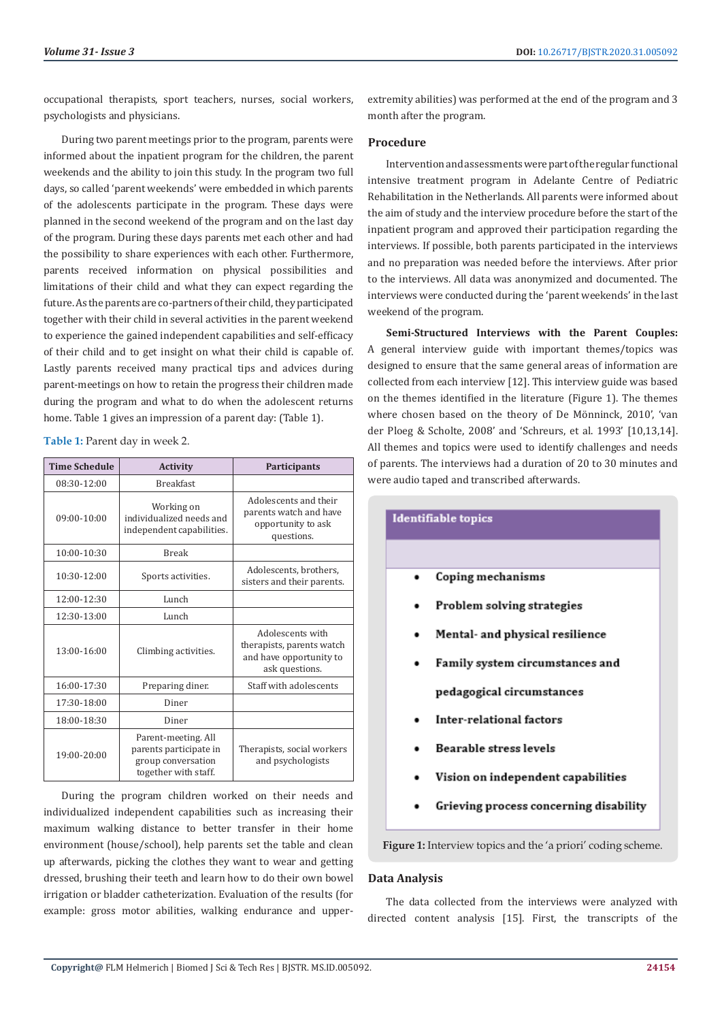occupational therapists, sport teachers, nurses, social workers, psychologists and physicians.

During two parent meetings prior to the program, parents were informed about the inpatient program for the children, the parent weekends and the ability to join this study. In the program two full days, so called 'parent weekends' were embedded in which parents of the adolescents participate in the program. These days were planned in the second weekend of the program and on the last day of the program. During these days parents met each other and had the possibility to share experiences with each other. Furthermore, parents received information on physical possibilities and limitations of their child and what they can expect regarding the future. As the parents are co-partners of their child, they participated together with their child in several activities in the parent weekend to experience the gained independent capabilities and self-efficacy of their child and to get insight on what their child is capable of. Lastly parents received many practical tips and advices during parent-meetings on how to retain the progress their children made during the program and what to do when the adolescent returns home. Table 1 gives an impression of a parent day: (Table 1).

Table 1: Parent day in week 2.

| <b>Time Schedule</b> | <b>Activity</b>                                                                             | <b>Participants</b>                                                                        |
|----------------------|---------------------------------------------------------------------------------------------|--------------------------------------------------------------------------------------------|
| 08:30-12:00          | <b>Breakfast</b>                                                                            |                                                                                            |
| $09:00 - 10:00$      | Working on<br>individualized needs and<br>independent capabilities.                         | Adolescents and their<br>parents watch and have<br>opportunity to ask<br>questions.        |
| $10:00 - 10:30$      | <b>Break</b>                                                                                |                                                                                            |
| $10:30-12:00$        | Sports activities.                                                                          | Adolescents, brothers,<br>sisters and their parents.                                       |
| 12:00-12:30          | Lunch                                                                                       |                                                                                            |
| 12:30-13:00          | Lunch                                                                                       |                                                                                            |
| 13:00-16:00          | Climbing activities.                                                                        | Adolescents with<br>therapists, parents watch<br>and have opportunity to<br>ask questions. |
| 16:00-17:30          | Preparing diner.                                                                            | Staff with adolescents                                                                     |
| 17:30-18:00          | Diner                                                                                       |                                                                                            |
| 18:00-18:30          | Diner                                                                                       |                                                                                            |
| 19:00-20:00          | Parent-meeting. All<br>parents participate in<br>group conversation<br>together with staff. | Therapists, social workers<br>and psychologists                                            |

During the program children worked on their needs and individualized independent capabilities such as increasing their maximum walking distance to better transfer in their home environment (house/school), help parents set the table and clean up afterwards, picking the clothes they want to wear and getting dressed, brushing their teeth and learn how to do their own bowel irrigation or bladder catheterization. Evaluation of the results (for example: gross motor abilities, walking endurance and upperextremity abilities) was performed at the end of the program and 3 month after the program.

#### **Procedure**

Intervention and assessments were part of the regular functional intensive treatment program in Adelante Centre of Pediatric Rehabilitation in the Netherlands. All parents were informed about the aim of study and the interview procedure before the start of the inpatient program and approved their participation regarding the interviews. If possible, both parents participated in the interviews and no preparation was needed before the interviews. After prior to the interviews. All data was anonymized and documented. The interviews were conducted during the 'parent weekends' in the last weekend of the program.

**Semi-Structured Interviews with the Parent Couples:**  A general interview guide with important themes/topics was designed to ensure that the same general areas of information are collected from each interview [12]. This interview guide was based on the themes identified in the literature (Figure 1). The themes where chosen based on the theory of De Mönninck, 2010', 'van der Ploeg & Scholte, 2008' and 'Schreurs, et al. 1993' [10,13,14]. All themes and topics were used to identify challenges and needs of parents. The interviews had a duration of 20 to 30 minutes and were audio taped and transcribed afterwards.

| <b>Identifiable</b> topics |                                        |  |
|----------------------------|----------------------------------------|--|
|                            |                                        |  |
|                            | Coping mechanisms                      |  |
|                            | Problem solving strategies             |  |
|                            | Mental- and physical resilience        |  |
|                            | Family system circumstances and        |  |
|                            | pedagogical circumstances              |  |
|                            | Inter-relational factors               |  |
|                            | Bearable stress levels                 |  |
|                            | Vision on independent capabilities     |  |
|                            | Grieving process concerning disability |  |

Figure 1: Interview topics and the 'a priori' coding scheme.

#### **Data Analysis**

The data collected from the interviews were analyzed with directed content analysis [15]. First, the transcripts of the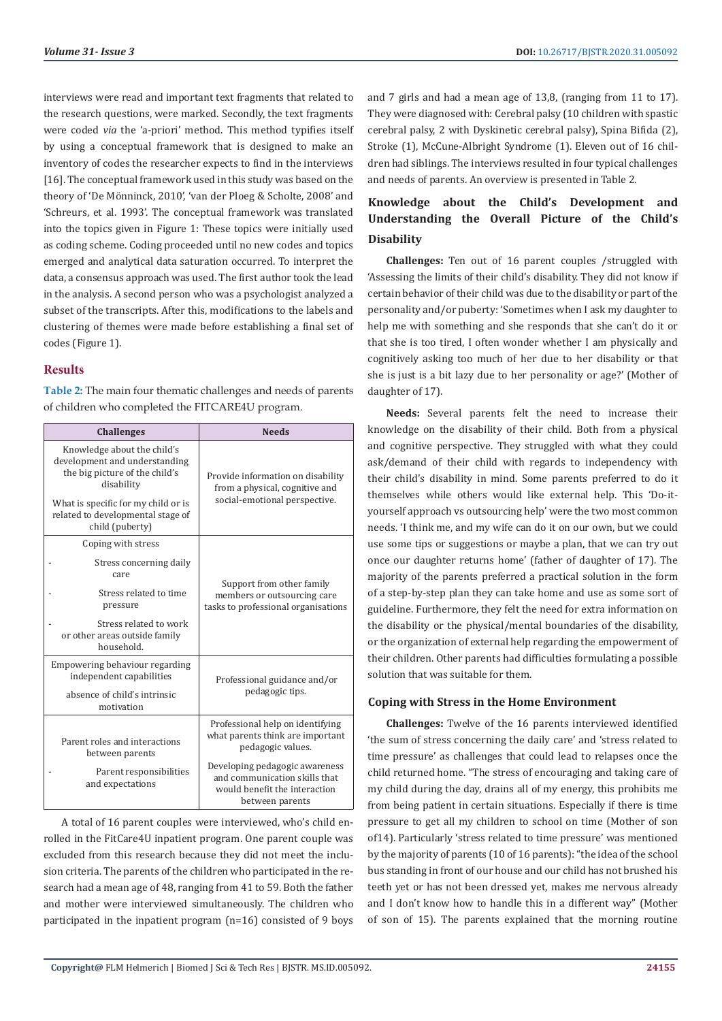interviews were read and important text fragments that related to the research questions, were marked. Secondly, the text fragments were coded *via* the 'a-priori' method. This method typifies itself by using a conceptual framework that is designed to make an inventory of codes the researcher expects to find in the interviews [16]. The conceptual framework used in this study was based on the theory of 'De Mönninck, 2010', 'van der Ploeg & Scholte, 2008' and 'Schreurs, et al. 1993'. The conceptual framework was translated into the topics given in Figure 1: These topics were initially used as coding scheme. Coding proceeded until no new codes and topics emerged and analytical data saturation occurred. To interpret the data, a consensus approach was used. The first author took the lead in the analysis. A second person who was a psychologist analyzed a subset of the transcripts. After this, modifications to the labels and clustering of themes were made before establishing a final set of codes (Figure 1).

#### **Results**

**Table 2:** The main four thematic challenges and needs of parents of children who completed the FITCARE4U program.

| <b>Challenges</b>                                                                                                                                                                                           | <b>Needs</b>                                                                                                        |  |
|-------------------------------------------------------------------------------------------------------------------------------------------------------------------------------------------------------------|---------------------------------------------------------------------------------------------------------------------|--|
| Knowledge about the child's<br>development and understanding<br>the big picture of the child's<br>disability<br>What is specific for my child or is<br>related to developmental stage of<br>child (puberty) | Provide information on disability<br>from a physical, cognitive and<br>social-emotional perspective.                |  |
| Coping with stress                                                                                                                                                                                          | Support from other family<br>members or outsourcing care<br>tasks to professional organisations                     |  |
| Stress concerning daily<br>care                                                                                                                                                                             |                                                                                                                     |  |
| Stress related to time<br>pressure                                                                                                                                                                          |                                                                                                                     |  |
| Stress related to work<br>or other areas outside family<br>household.                                                                                                                                       |                                                                                                                     |  |
| Empowering behaviour regarding<br>independent capabilities                                                                                                                                                  | Professional guidance and/or                                                                                        |  |
| absence of child's intrinsic<br>motivation                                                                                                                                                                  | pedagogic tips.                                                                                                     |  |
|                                                                                                                                                                                                             | Professional help on identifying                                                                                    |  |
| Parent roles and interactions<br>between parents                                                                                                                                                            | what parents think are important<br>pedagogic values.                                                               |  |
| Parent responsibilities<br>and expectations                                                                                                                                                                 | Developing pedagogic awareness<br>and communication skills that<br>would benefit the interaction<br>between parents |  |

A total of 16 parent couples were interviewed, who's child enrolled in the FitCare4U inpatient program. One parent couple was excluded from this research because they did not meet the inclusion criteria. The parents of the children who participated in the research had a mean age of 48, ranging from 41 to 59. Both the father and mother were interviewed simultaneously. The children who participated in the inpatient program (n=16) consisted of 9 boys and 7 girls and had a mean age of 13,8, (ranging from 11 to 17). They were diagnosed with: Cerebral palsy (10 children with spastic cerebral palsy, 2 with Dyskinetic cerebral palsy), Spina Bifida (2), Stroke (1), McCune-Albright Syndrome (1). Eleven out of 16 children had siblings. The interviews resulted in four typical challenges and needs of parents. An overview is presented in Table 2.

# **Knowledge about the Child's Development and Understanding the Overall Picture of the Child's Disability**

**Challenges:** Ten out of 16 parent couples /struggled with 'Assessing the limits of their child's disability. They did not know if certain behavior of their child was due to the disability or part of the personality and/or puberty: 'Sometimes when I ask my daughter to help me with something and she responds that she can't do it or that she is too tired, I often wonder whether I am physically and cognitively asking too much of her due to her disability or that she is just is a bit lazy due to her personality or age?' (Mother of daughter of 17).

**Needs:** Several parents felt the need to increase their knowledge on the disability of their child. Both from a physical and cognitive perspective. They struggled with what they could ask/demand of their child with regards to independency with their child's disability in mind. Some parents preferred to do it themselves while others would like external help. This 'Do-ityourself approach vs outsourcing help' were the two most common needs. 'I think me, and my wife can do it on our own, but we could use some tips or suggestions or maybe a plan, that we can try out once our daughter returns home' (father of daughter of 17). The majority of the parents preferred a practical solution in the form of a step-by-step plan they can take home and use as some sort of guideline. Furthermore, they felt the need for extra information on the disability or the physical/mental boundaries of the disability, or the organization of external help regarding the empowerment of their children. Other parents had difficulties formulating a possible solution that was suitable for them.

#### **Coping with Stress in the Home Environment**

**Challenges:** Twelve of the 16 parents interviewed identified 'the sum of stress concerning the daily care' and 'stress related to time pressure' as challenges that could lead to relapses once the child returned home. "The stress of encouraging and taking care of my child during the day, drains all of my energy, this prohibits me from being patient in certain situations. Especially if there is time pressure to get all my children to school on time (Mother of son of14). Particularly 'stress related to time pressure' was mentioned by the majority of parents (10 of 16 parents): "the idea of the school bus standing in front of our house and our child has not brushed his teeth yet or has not been dressed yet, makes me nervous already and I don't know how to handle this in a different way" (Mother of son of 15). The parents explained that the morning routine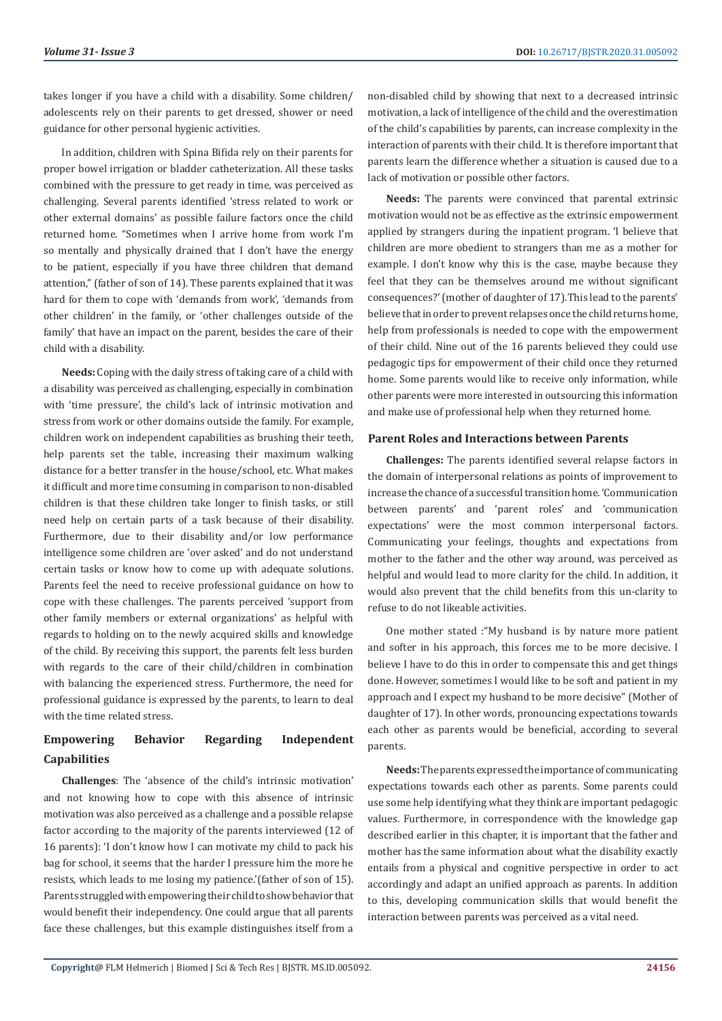takes longer if you have a child with a disability. Some children/ adolescents rely on their parents to get dressed, shower or need guidance for other personal hygienic activities.

In addition, children with Spina Bifida rely on their parents for proper bowel irrigation or bladder catheterization. All these tasks combined with the pressure to get ready in time, was perceived as challenging. Several parents identified 'stress related to work or other external domains' as possible failure factors once the child returned home. "Sometimes when I arrive home from work I'm so mentally and physically drained that I don't have the energy to be patient, especially if you have three children that demand attention," (father of son of 14). These parents explained that it was hard for them to cope with 'demands from work', 'demands from other children' in the family, or 'other challenges outside of the family' that have an impact on the parent, besides the care of their child with a disability.

**Needs:** Coping with the daily stress of taking care of a child with a disability was perceived as challenging, especially in combination with 'time pressure', the child's lack of intrinsic motivation and stress from work or other domains outside the family. For example, children work on independent capabilities as brushing their teeth, help parents set the table, increasing their maximum walking distance for a better transfer in the house/school, etc. What makes it difficult and more time consuming in comparison to non-disabled children is that these children take longer to finish tasks, or still need help on certain parts of a task because of their disability. Furthermore, due to their disability and/or low performance intelligence some children are 'over asked' and do not understand certain tasks or know how to come up with adequate solutions. Parents feel the need to receive professional guidance on how to cope with these challenges. The parents perceived 'support from other family members or external organizations' as helpful with regards to holding on to the newly acquired skills and knowledge of the child. By receiving this support, the parents felt less burden with regards to the care of their child/children in combination with balancing the experienced stress. Furthermore, the need for professional guidance is expressed by the parents, to learn to deal with the time related stress.

# **Empowering Behavior Regarding Independent Capabilities**

**Challenges**: The 'absence of the child's intrinsic motivation' and not knowing how to cope with this absence of intrinsic motivation was also perceived as a challenge and a possible relapse factor according to the majority of the parents interviewed (12 of 16 parents): 'I don't know how I can motivate my child to pack his bag for school, it seems that the harder I pressure him the more he resists, which leads to me losing my patience.'(father of son of 15). Parents struggled with empowering their child to show behavior that would benefit their independency. One could argue that all parents face these challenges, but this example distinguishes itself from a

non-disabled child by showing that next to a decreased intrinsic motivation, a lack of intelligence of the child and the overestimation of the child's capabilities by parents, can increase complexity in the interaction of parents with their child. It is therefore important that parents learn the difference whether a situation is caused due to a lack of motivation or possible other factors.

**Needs:** The parents were convinced that parental extrinsic motivation would not be as effective as the extrinsic empowerment applied by strangers during the inpatient program. 'I believe that children are more obedient to strangers than me as a mother for example. I don't know why this is the case, maybe because they feel that they can be themselves around me without significant consequences?' (mother of daughter of 17).This lead to the parents' believe that in order to prevent relapses once the child returns home, help from professionals is needed to cope with the empowerment of their child. Nine out of the 16 parents believed they could use pedagogic tips for empowerment of their child once they returned home. Some parents would like to receive only information, while other parents were more interested in outsourcing this information and make use of professional help when they returned home.

#### **Parent Roles and Interactions between Parents**

**Challenges:** The parents identified several relapse factors in the domain of interpersonal relations as points of improvement to increase the chance of a successful transition home. 'Communication between parents' and 'parent roles' and 'communication expectations' were the most common interpersonal factors. Communicating your feelings, thoughts and expectations from mother to the father and the other way around, was perceived as helpful and would lead to more clarity for the child. In addition, it would also prevent that the child benefits from this un-clarity to refuse to do not likeable activities.

One mother stated :"My husband is by nature more patient and softer in his approach, this forces me to be more decisive. I believe I have to do this in order to compensate this and get things done. However, sometimes I would like to be soft and patient in my approach and I expect my husband to be more decisive" (Mother of daughter of 17). In other words, pronouncing expectations towards each other as parents would be beneficial, according to several parents.

**Needs:** The parents expressed the importance of communicating expectations towards each other as parents. Some parents could use some help identifying what they think are important pedagogic values. Furthermore, in correspondence with the knowledge gap described earlier in this chapter, it is important that the father and mother has the same information about what the disability exactly entails from a physical and cognitive perspective in order to act accordingly and adapt an unified approach as parents. In addition to this, developing communication skills that would benefit the interaction between parents was perceived as a vital need.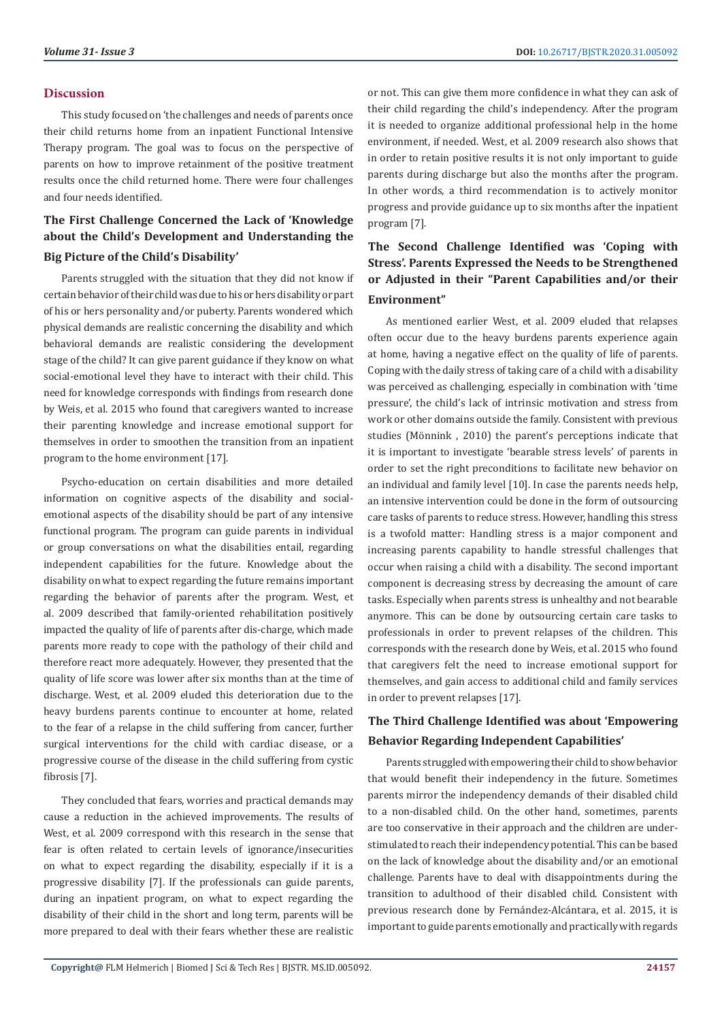#### **Discussion**

This study focused on 'the challenges and needs of parents once their child returns home from an inpatient Functional Intensive Therapy program. The goal was to focus on the perspective of parents on how to improve retainment of the positive treatment results once the child returned home. There were four challenges and four needs identified.

# **The First Challenge Concerned the Lack of 'Knowledge about the Child's Development and Understanding the Big Picture of the Child's Disability'**

Parents struggled with the situation that they did not know if certain behavior of their child was due to his or hers disability or part of his or hers personality and/or puberty. Parents wondered which physical demands are realistic concerning the disability and which behavioral demands are realistic considering the development stage of the child? It can give parent guidance if they know on what social-emotional level they have to interact with their child. This need for knowledge corresponds with findings from research done by Weis, et al. 2015 who found that caregivers wanted to increase their parenting knowledge and increase emotional support for themselves in order to smoothen the transition from an inpatient program to the home environment [17].

Psycho-education on certain disabilities and more detailed information on cognitive aspects of the disability and socialemotional aspects of the disability should be part of any intensive functional program. The program can guide parents in individual or group conversations on what the disabilities entail, regarding independent capabilities for the future. Knowledge about the disability on what to expect regarding the future remains important regarding the behavior of parents after the program. West, et al. 2009 described that family-oriented rehabilitation positively impacted the quality of life of parents after dis-charge, which made parents more ready to cope with the pathology of their child and therefore react more adequately. However, they presented that the quality of life score was lower after six months than at the time of discharge. West, et al. 2009 eluded this deterioration due to the heavy burdens parents continue to encounter at home, related to the fear of a relapse in the child suffering from cancer, further surgical interventions for the child with cardiac disease, or a progressive course of the disease in the child suffering from cystic fibrosis [7].

They concluded that fears, worries and practical demands may cause a reduction in the achieved improvements. The results of West, et al. 2009 correspond with this research in the sense that fear is often related to certain levels of ignorance/insecurities on what to expect regarding the disability, especially if it is a progressive disability [7]. If the professionals can guide parents, during an inpatient program, on what to expect regarding the disability of their child in the short and long term, parents will be more prepared to deal with their fears whether these are realistic or not. This can give them more confidence in what they can ask of their child regarding the child's independency. After the program it is needed to organize additional professional help in the home environment, if needed. West, et al. 2009 research also shows that in order to retain positive results it is not only important to guide parents during discharge but also the months after the program. In other words, a third recommendation is to actively monitor progress and provide guidance up to six months after the inpatient program [7].

# **The Second Challenge Identified was 'Coping with Stress'. Parents Expressed the Needs to be Strengthened or Adjusted in their "Parent Capabilities and/or their Environment"**

As mentioned earlier West, et al. 2009 eluded that relapses often occur due to the heavy burdens parents experience again at home, having a negative effect on the quality of life of parents. Coping with the daily stress of taking care of a child with a disability was perceived as challenging, especially in combination with 'time pressure', the child's lack of intrinsic motivation and stress from work or other domains outside the family. Consistent with previous studies (Mönnink , 2010) the parent's perceptions indicate that it is important to investigate 'bearable stress levels' of parents in order to set the right preconditions to facilitate new behavior on an individual and family level [10]. In case the parents needs help, an intensive intervention could be done in the form of outsourcing care tasks of parents to reduce stress. However, handling this stress is a twofold matter: Handling stress is a major component and increasing parents capability to handle stressful challenges that occur when raising a child with a disability. The second important component is decreasing stress by decreasing the amount of care tasks. Especially when parents stress is unhealthy and not bearable anymore. This can be done by outsourcing certain care tasks to professionals in order to prevent relapses of the children. This corresponds with the research done by Weis, et al. 2015 who found that caregivers felt the need to increase emotional support for themselves, and gain access to additional child and family services in order to prevent relapses [17].

# **The Third Challenge Identified was about 'Empowering Behavior Regarding Independent Capabilities'**

Parents struggled with empowering their child to show behavior that would benefit their independency in the future. Sometimes parents mirror the independency demands of their disabled child to a non-disabled child. On the other hand, sometimes, parents are too conservative in their approach and the children are understimulated to reach their independency potential. This can be based on the lack of knowledge about the disability and/or an emotional challenge. Parents have to deal with disappointments during the transition to adulthood of their disabled child. Consistent with previous research done by Fernández-Alcántara, et al. 2015, it is important to guide parents emotionally and practically with regards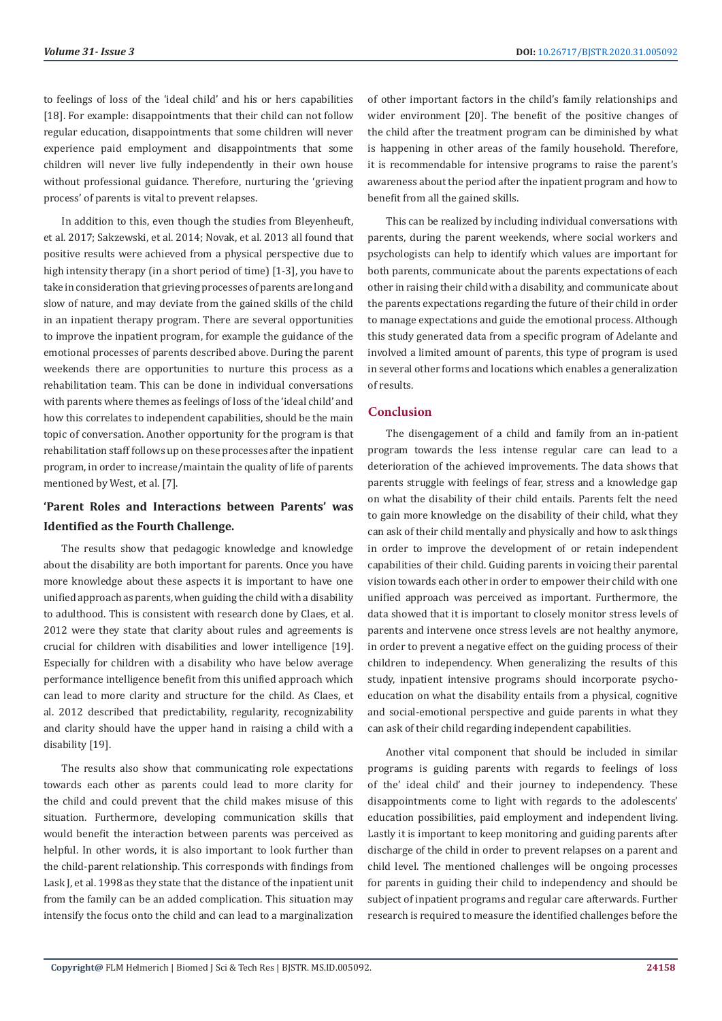to feelings of loss of the 'ideal child' and his or hers capabilities [18]. For example: disappointments that their child can not follow regular education, disappointments that some children will never experience paid employment and disappointments that some children will never live fully independently in their own house without professional guidance. Therefore, nurturing the 'grieving process' of parents is vital to prevent relapses.

In addition to this, even though the studies from Bleyenheuft, et al. 2017; Sakzewski, et al. 2014; Novak, et al. 2013 all found that positive results were achieved from a physical perspective due to high intensity therapy (in a short period of time) [1-3], you have to take in consideration that grieving processes of parents are long and slow of nature, and may deviate from the gained skills of the child in an inpatient therapy program. There are several opportunities to improve the inpatient program, for example the guidance of the emotional processes of parents described above. During the parent weekends there are opportunities to nurture this process as a rehabilitation team. This can be done in individual conversations with parents where themes as feelings of loss of the 'ideal child' and how this correlates to independent capabilities, should be the main topic of conversation. Another opportunity for the program is that rehabilitation staff follows up on these processes after the inpatient program, in order to increase/maintain the quality of life of parents mentioned by West, et al. [7].

# **'Parent Roles and Interactions between Parents' was Identified as the Fourth Challenge.**

The results show that pedagogic knowledge and knowledge about the disability are both important for parents. Once you have more knowledge about these aspects it is important to have one unified approach as parents, when guiding the child with a disability to adulthood. This is consistent with research done by Claes, et al. 2012 were they state that clarity about rules and agreements is crucial for children with disabilities and lower intelligence [19]. Especially for children with a disability who have below average performance intelligence benefit from this unified approach which can lead to more clarity and structure for the child. As Claes, et al. 2012 described that predictability, regularity, recognizability and clarity should have the upper hand in raising a child with a disability [19].

The results also show that communicating role expectations towards each other as parents could lead to more clarity for the child and could prevent that the child makes misuse of this situation. Furthermore, developing communication skills that would benefit the interaction between parents was perceived as helpful. In other words, it is also important to look further than the child-parent relationship. This corresponds with findings from Lask J, et al. 1998 as they state that the distance of the inpatient unit from the family can be an added complication. This situation may intensify the focus onto the child and can lead to a marginalization

of other important factors in the child's family relationships and wider environment [20]. The benefit of the positive changes of the child after the treatment program can be diminished by what is happening in other areas of the family household. Therefore, it is recommendable for intensive programs to raise the parent's awareness about the period after the inpatient program and how to benefit from all the gained skills.

This can be realized by including individual conversations with parents, during the parent weekends, where social workers and psychologists can help to identify which values are important for both parents, communicate about the parents expectations of each other in raising their child with a disability, and communicate about the parents expectations regarding the future of their child in order to manage expectations and guide the emotional process. Although this study generated data from a specific program of Adelante and involved a limited amount of parents, this type of program is used in several other forms and locations which enables a generalization of results.

#### **Conclusion**

The disengagement of a child and family from an in-patient program towards the less intense regular care can lead to a deterioration of the achieved improvements. The data shows that parents struggle with feelings of fear, stress and a knowledge gap on what the disability of their child entails. Parents felt the need to gain more knowledge on the disability of their child, what they can ask of their child mentally and physically and how to ask things in order to improve the development of or retain independent capabilities of their child. Guiding parents in voicing their parental vision towards each other in order to empower their child with one unified approach was perceived as important. Furthermore, the data showed that it is important to closely monitor stress levels of parents and intervene once stress levels are not healthy anymore, in order to prevent a negative effect on the guiding process of their children to independency. When generalizing the results of this study, inpatient intensive programs should incorporate psychoeducation on what the disability entails from a physical, cognitive and social-emotional perspective and guide parents in what they can ask of their child regarding independent capabilities.

Another vital component that should be included in similar programs is guiding parents with regards to feelings of loss of the' ideal child' and their journey to independency. These disappointments come to light with regards to the adolescents' education possibilities, paid employment and independent living. Lastly it is important to keep monitoring and guiding parents after discharge of the child in order to prevent relapses on a parent and child level. The mentioned challenges will be ongoing processes for parents in guiding their child to independency and should be subject of inpatient programs and regular care afterwards. Further research is required to measure the identified challenges before the